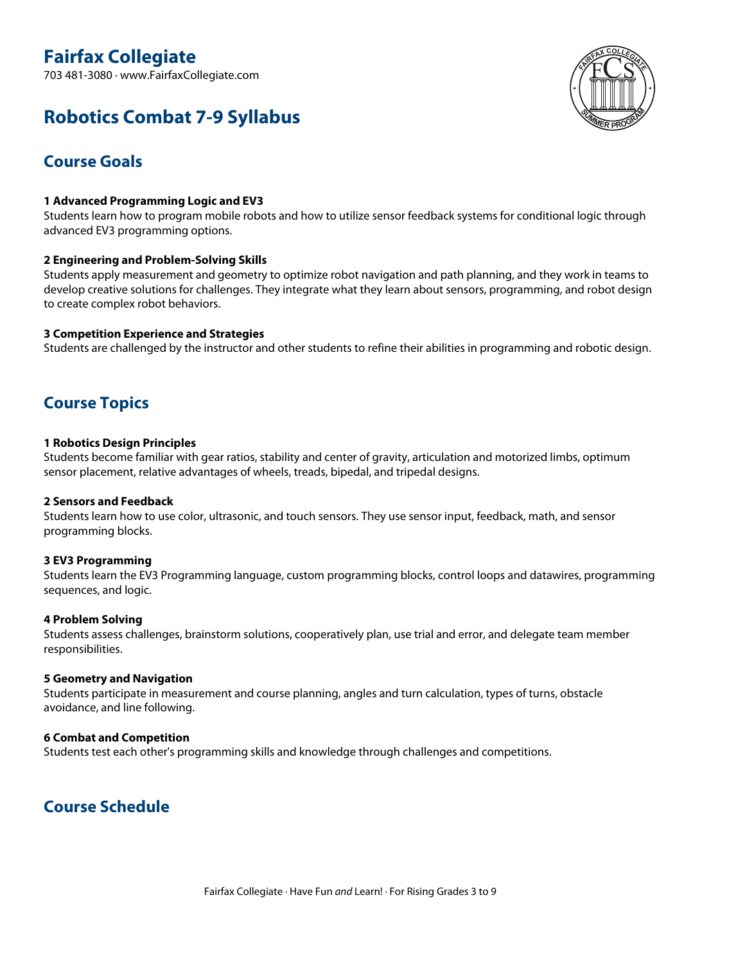# **Fairfax Collegiate**

703 481-3080 · www.FairfaxCollegiate.com



# **Robotics Combat 7-9 Syllabus**

## **Course Goals**

## **1 Advanced Programming Logic and EV3**

Students learn how to program mobile robots and how to utilize sensor feedback systems for conditional logic through advanced EV3 programming options.

## **2 Engineering and Problem-Solving Skills**

Students apply measurement and geometry to optimize robot navigation and path planning, and they work in teams to develop creative solutions for challenges. They integrate what they learn about sensors, programming, and robot design to create complex robot behaviors.

## **3 Competition Experience and Strategies**

Students are challenged by the instructor and other students to refine their abilities in programming and robotic design.

## **Course Topics**

## **1 Robotics Design Principles**

Students become familiar with gear ratios, stability and center of gravity, articulation and motorized limbs, optimum sensor placement, relative advantages of wheels, treads, bipedal, and tripedal designs.

## **2 Sensors and Feedback**

Students learn how to use color, ultrasonic, and touch sensors. They use sensor input, feedback, math, and sensor programming blocks.

## **3 EV3 Programming**

Students learn the EV3 Programming language, custom programming blocks, control loops and datawires, programming sequences, and logic.

## **4 Problem Solving**

Students assess challenges, brainstorm solutions, cooperatively plan, use trial and error, and delegate team member responsibilities.

## **5 Geometry and Navigation**

Students participate in measurement and course planning, angles and turn calculation, types of turns, obstacle avoidance, and line following.

## **6 Combat and Competition**

Students test each other's programming skills and knowledge through challenges and competitions.

## **Course Schedule**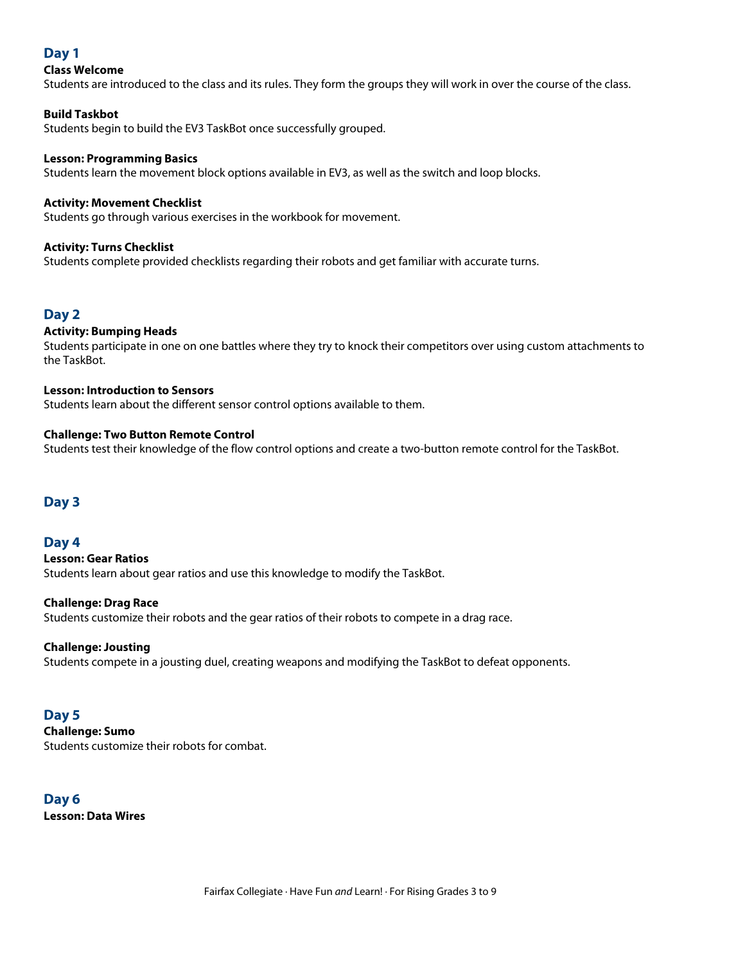## **Day 1**

## **Class Welcome**

Students are introduced to the class and its rules. They form the groups they will work in over the course of the class.

## **Build Taskbot**

Students begin to build the EV3 TaskBot once successfully grouped.

## **Lesson: Programming Basics**

Students learn the movement block options available in EV3, as well as the switch and loop blocks.

## **Activity: Movement Checklist**

Students go through various exercises in the workbook for movement.

## **Activity: Turns Checklist**

Students complete provided checklists regarding their robots and get familiar with accurate turns.

## **Day 2**

## **Activity: Bumping Heads**

Students participate in one on one battles where they try to knock their competitors over using custom attachments to the TaskBot.

## **Lesson: Introduction to Sensors**

Students learn about the different sensor control options available to them.

## **Challenge: Two Button Remote Control**

Students test their knowledge of the flow control options and create <sup>a</sup> two-button remote control for the TaskBot.

## **Day 3**

## **Day 4**

**Lesson: Gear Ratios** Students learn about gear ratios and use this knowledge to modify the TaskBot.

#### **Challenge: Drag Race**

Students customize their robots and the gear ratios of their robots to compete in <sup>a</sup> drag race.

## **Challenge: Jousting**

Students compete in <sup>a</sup> jousting duel, creating weapons and modifying the TaskBot to defeat opponents.

## **Day 5**

**Challenge: Sumo** Students customize their robots for combat.

**Day 6 Lesson: Data Wires**